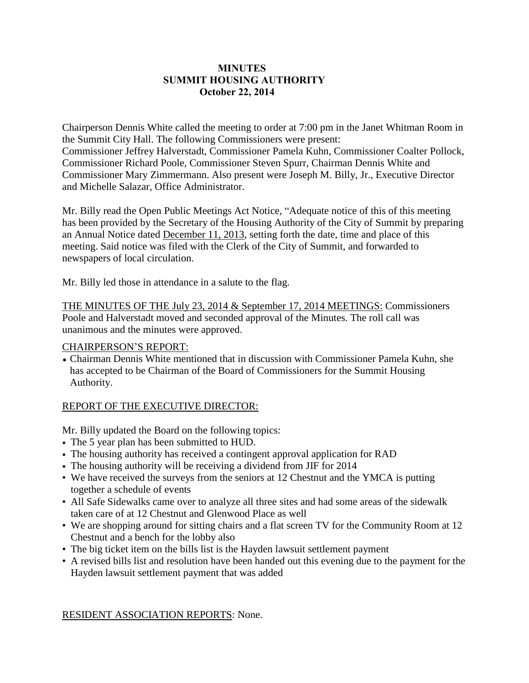# **MINUTES SUMMIT HOUSING AUTHORITY October 22, 2014**

Chairperson Dennis White called the meeting to order at 7:00 pm in the Janet Whitman Room in the Summit City Hall. The following Commissioners were present: Commissioner Jeffrey Halverstadt, Commissioner Pamela Kuhn, Commissioner Coalter Pollock, Commissioner Richard Poole, Commissioner Steven Spurr, Chairman Dennis White and Commissioner Mary Zimmermann. Also present were Joseph M. Billy, Jr., Executive Director and Michelle Salazar, Office Administrator.

Mr. Billy read the Open Public Meetings Act Notice, "Adequate notice of this of this meeting has been provided by the Secretary of the Housing Authority of the City of Summit by preparing an Annual Notice dated December 11, 2013, setting forth the date, time and place of this meeting. Said notice was filed with the Clerk of the City of Summit, and forwarded to newspapers of local circulation.

Mr. Billy led those in attendance in a salute to the flag.

THE MINUTES OF THE July 23, 2014 & September 17, 2014 MEETINGS: Commissioners Poole and Halverstadt moved and seconded approval of the Minutes. The roll call was unanimous and the minutes were approved.

### CHAIRPERSON'S REPORT:

• Chairman Dennis White mentioned that in discussion with Commissioner Pamela Kuhn, she has accepted to be Chairman of the Board of Commissioners for the Summit Housing Authority.

# REPORT OF THE EXECUTIVE DIRECTOR:

Mr. Billy updated the Board on the following topics:

- The 5 year plan has been submitted to HUD.
- The housing authority has received a contingent approval application for RAD
- The housing authority will be receiving a dividend from JIF for 2014
- We have received the surveys from the seniors at 12 Chestnut and the YMCA is putting together a schedule of events
- All Safe Sidewalks came over to analyze all three sites and had some areas of the sidewalk taken care of at 12 Chestnut and Glenwood Place as well
- We are shopping around for sitting chairs and a flat screen TV for the Community Room at 12 Chestnut and a bench for the lobby also
- The big ticket item on the bills list is the Hayden lawsuit settlement payment
- A revised bills list and resolution have been handed out this evening due to the payment for the Hayden lawsuit settlement payment that was added

RESIDENT ASSOCIATION REPORTS: None.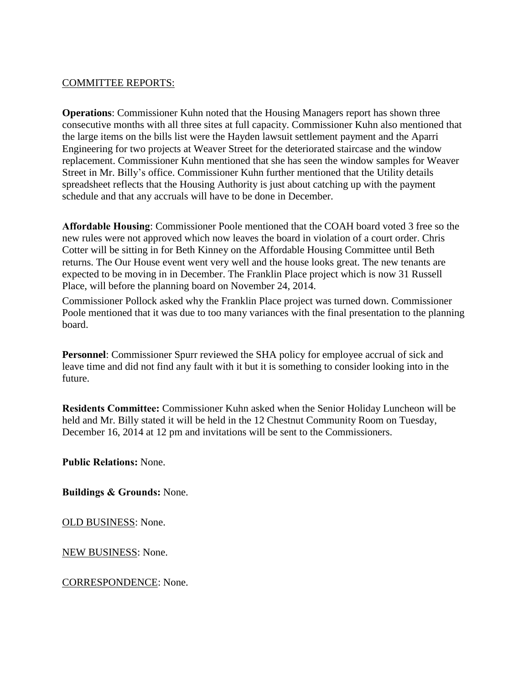### COMMITTEE REPORTS:

**Operations**: Commissioner Kuhn noted that the Housing Managers report has shown three consecutive months with all three sites at full capacity. Commissioner Kuhn also mentioned that the large items on the bills list were the Hayden lawsuit settlement payment and the Aparri Engineering for two projects at Weaver Street for the deteriorated staircase and the window replacement. Commissioner Kuhn mentioned that she has seen the window samples for Weaver Street in Mr. Billy's office. Commissioner Kuhn further mentioned that the Utility details spreadsheet reflects that the Housing Authority is just about catching up with the payment schedule and that any accruals will have to be done in December.

**Affordable Housing**: Commissioner Poole mentioned that the COAH board voted 3 free so the new rules were not approved which now leaves the board in violation of a court order. Chris Cotter will be sitting in for Beth Kinney on the Affordable Housing Committee until Beth returns. The Our House event went very well and the house looks great. The new tenants are expected to be moving in in December. The Franklin Place project which is now 31 Russell Place, will before the planning board on November 24, 2014.

Commissioner Pollock asked why the Franklin Place project was turned down. Commissioner Poole mentioned that it was due to too many variances with the final presentation to the planning board.

**Personnel:** Commissioner Spurr reviewed the SHA policy for employee accrual of sick and leave time and did not find any fault with it but it is something to consider looking into in the future.

**Residents Committee:** Commissioner Kuhn asked when the Senior Holiday Luncheon will be held and Mr. Billy stated it will be held in the 12 Chestnut Community Room on Tuesday, December 16, 2014 at 12 pm and invitations will be sent to the Commissioners.

**Public Relations:** None.

**Buildings & Grounds:** None.

OLD BUSINESS: None.

NEW BUSINESS: None.

CORRESPONDENCE: None.